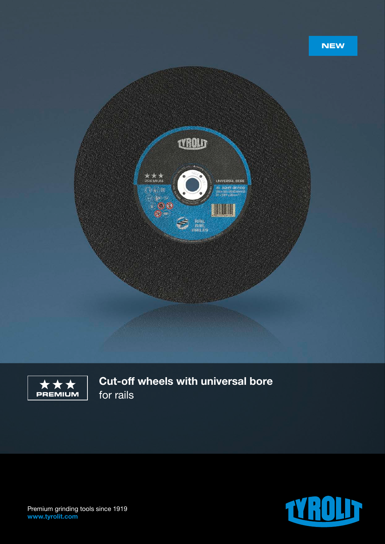





Cut-off wheels with universal bore for rails



Premium grinding tools since 1919 www.tyrolit.com